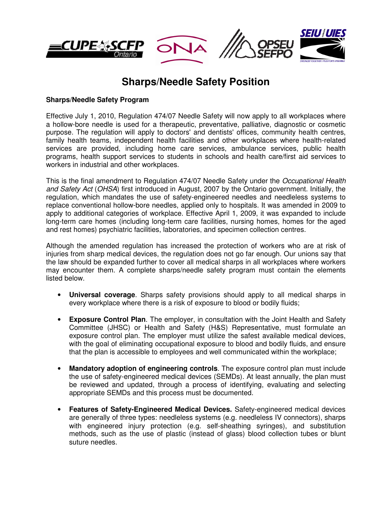

## **Sharps/Needle Safety Position**

## **Sharps/Needle Safety Program**

Effective July 1, 2010, Regulation 474/07 Needle Safety will now apply to all workplaces where a hollow-bore needle is used for a therapeutic, preventative, palliative, diagnostic or cosmetic purpose. The regulation will apply to doctors' and dentists' offices, community health centres, family health teams, independent health facilities and other workplaces where health-related services are provided, including home care services, ambulance services, public health programs, health support services to students in schools and health care/first aid services to workers in industrial and other workplaces.

This is the final amendment to Regulation 474/07 Needle Safety under the Occupational Health and Safety Act (OHSA) first introduced in August, 2007 by the Ontario government. Initially, the regulation, which mandates the use of safety-engineered needles and needleless systems to replace conventional hollow-bore needles, applied only to hospitals. It was amended in 2009 to apply to additional categories of workplace. Effective April 1, 2009, it was expanded to include long-term care homes (including long-term care facilities, nursing homes, homes for the aged and rest homes) psychiatric facilities, laboratories, and specimen collection centres.

Although the amended regulation has increased the protection of workers who are at risk of injuries from sharp medical devices, the regulation does not go far enough. Our unions say that the law should be expanded further to cover all medical sharps in all workplaces where workers may encounter them. A complete sharps/needle safety program must contain the elements listed below.

- **Universal coverage**. Sharps safety provisions should apply to all medical sharps in every workplace where there is a risk of exposure to blood or bodily fluids;
- **Exposure Control Plan**. The employer, in consultation with the Joint Health and Safety Committee (JHSC) or Health and Safety (H&S) Representative, must formulate an exposure control plan. The employer must utilize the safest available medical devices, with the goal of eliminating occupational exposure to blood and bodily fluids, and ensure that the plan is accessible to employees and well communicated within the workplace;
- **Mandatory adoption of engineering controls**. The exposure control plan must include the use of safety-engineered medical devices (SEMDs). At least annually, the plan must be reviewed and updated, through a process of identifying, evaluating and selecting appropriate SEMDs and this process must be documented.
- **Features of Safety-Engineered Medical Devices.** Safety-engineered medical devices are generally of three types: needleless systems (e.g. needleless IV connectors), sharps with engineered injury protection (e.g. self-sheathing syringes), and substitution methods, such as the use of plastic (instead of glass) blood collection tubes or blunt suture needles.